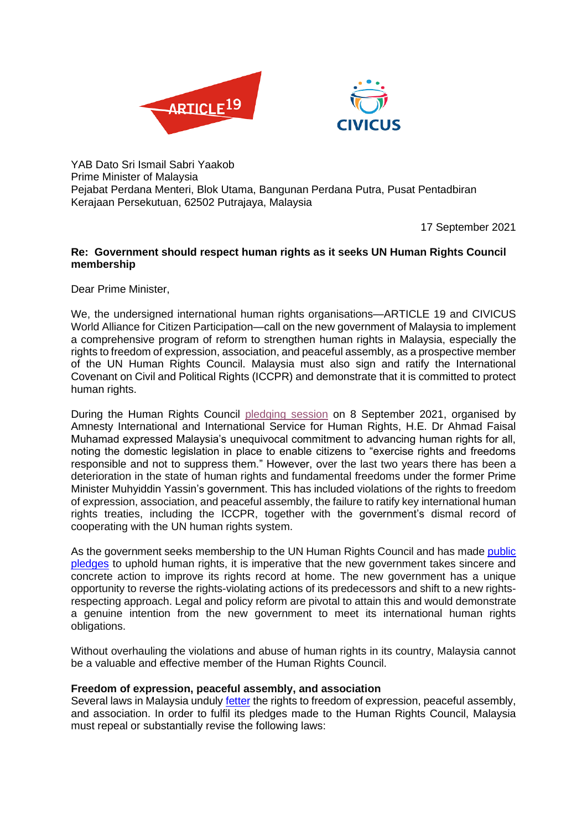



YAB Dato Sri Ismail Sabri Yaakob Prime Minister of Malaysia Pejabat Perdana Menteri, Blok Utama, Bangunan Perdana Putra, Pusat Pentadbiran Kerajaan Persekutuan, 62502 Putrajaya, Malaysia

17 September 2021

# **Re: Government should respect human rights as it seeks UN Human Rights Council membership**

Dear Prime Minister,

We, the undersigned international human rights organisations—ARTICLE 19 and CIVICUS World Alliance for Citizen Participation—call on the new government of Malaysia to implement a comprehensive program of reform to strengthen human rights in Malaysia, especially the rights to freedom of expression, association, and peaceful assembly, as a prospective member of the UN Human Rights Council. Malaysia must also sign and ratify the International Covenant on Civil and Political Rights (ICCPR) and demonstrate that it is committed to protect human rights.

During the Human Rights Council [pledging session](https://www.youtube.com/watch?v=Qs5fpr_WY2c) on 8 September 2021, organised by Amnesty International and International Service for Human Rights, H.E. Dr Ahmad Faisal Muhamad expressed Malaysia's unequivocal commitment to advancing human rights for all, noting the domestic legislation in place to enable citizens to "exercise rights and freedoms responsible and not to suppress them." However, over the last two years there has been a deterioration in the state of human rights and fundamental freedoms under the former Prime Minister Muhyiddin Yassin's government. This has included violations of the rights to freedom of expression, association, and peaceful assembly, the failure to ratify key international human rights treaties, including the ICCPR, together with the government's dismal record of cooperating with the UN human rights system.

As the government seeks membership to the UN Human Rights Council and has made public [pledges](https://www.kln.gov.my/web/usa_un-new-york/news-from-mission/-/blogs/malaysia-s-candidature-to-the-human-rights-council-term-2022-2024-voluntary-commitments-and-pledges) to uphold human rights, it is imperative that the new government takes sincere and concrete action to improve its rights record at home. The new government has a unique opportunity to reverse the rights-violating actions of its predecessors and shift to a new rightsrespecting approach. Legal and policy reform are pivotal to attain this and would demonstrate a genuine intention from the new government to meet its international human rights obligations.

Without overhauling the violations and abuse of human rights in its country, Malaysia cannot be a valuable and effective member of the Human Rights Council.

## **Freedom of expression, peaceful assembly, and association**

Several laws in Malaysia unduly [fetter](https://www.article19.org/resources/rights-in-reverse-one-year-under-the-perikatan-nasional-government-in-malaysia/) the rights to freedom of expression, peaceful assembly, and association. In order to fulfil its pledges made to the Human Rights Council, Malaysia must repeal or substantially revise the following laws: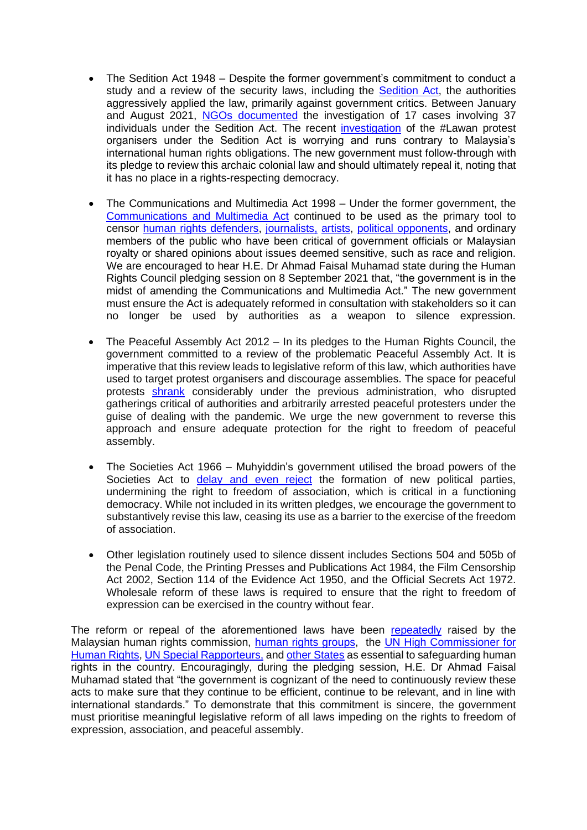- The Sedition Act 1948 Despite the former government's commitment to conduct a study and a review of the security laws, including the [Sedition Act,](https://www.article19.org/resources/malaysia-drop-sedition-charges/) the authorities aggressively applied the law, primarily against government critics. Between January and August 2021, [NGOs documented](https://www.facebook.com/CSOPlatform4Reform/posts/379557267083975) the investigation of 17 cases involving 37 individuals under the Sedition Act. The recent [investigation](https://www.malaysiakini.com/news/589925) of the #Lawan protest organisers under the Sedition Act is worrying and runs contrary to Malaysia's international human rights obligations. The new government must follow-through with its pledge to review this archaic colonial law and should ultimately repeal it, noting that it has no place in a rights-respecting democracy.
- The Communications and Multimedia Act 1998 Under the former government, the [Communications and Multimedia Act](https://www.article19.org/resources/malaysia-communications-multimedia-act/) continued to be used as the primary tool to censor [human rights defenders,](https://www.article19.org/resources/malaysia-end-harassment-of-civil-society/) [journalists,](https://www.article19.org/resources/malaysia-critics-suppressed-police-brutality-unaddressed/) [artists](https://www.article19.org/resources/malaysia-end-investigations-satire-artist/), [political opponents,](https://www.article19.org/resources/malaysia-end-harassment-of-civil-society/) and ordinary members of the public who have been critical of government officials or Malaysian royalty or shared opinions about issues deemed sensitive, such as race and religion. We are encouraged to hear H.E. Dr Ahmad Faisal Muhamad state during the Human Rights Council pledging session on 8 September 2021 that, "the government is in the midst of amending the Communications and Multimedia Act." The new government must ensure the Act is adequately reformed in consultation with stakeholders so it can no longer be used by authorities as a weapon to silence expression.
- The Peaceful Assembly Act 2012 In its pledges to the Human Rights Council, the government committed to a review of the problematic Peaceful Assembly Act. It is imperative that this review leads to legislative reform of this law, which authorities have used to target protest organisers and discourage assemblies. The space for peaceful protests [shrank](https://www.article19.org/resources/malaysia-arrest-vigil-attendees-governments-latest-harassment-against-lawan-protesters/) considerably under the previous administration, who disrupted gatherings critical of authorities and arbitrarily arrested peaceful protesters under the guise of dealing with the pandemic. We urge the new government to reverse this approach and ensure adequate protection for the right to freedom of peaceful assembly.
- The Societies Act 1966 Muhyiddin's government utilised the broad powers of the Societies Act to **[delay and even reject](https://www.malaymail.com/news/malaysia/2021/01/07/after-pejuang-mudas-registration-bid-rejected-by-ros-as-well/1938124)** the formation of new political parties, undermining the right to freedom of association, which is critical in a functioning democracy. While not included in its written pledges, we encourage the government to substantively revise this law, ceasing its use as a barrier to the exercise of the freedom of association.
- Other legislation routinely used to silence dissent includes Sections 504 and 505b of the Penal Code, the Printing Presses and Publications Act 1984, the Film Censorship Act 2002, Section 114 of the Evidence Act 1950, and the Official Secrets Act 1972. Wholesale reform of these laws is required to ensure that the right to freedom of expression can be exercised in the country without fear.

The reform or repeal of the aforementioned laws have been [repeatedly](https://www.malaysiakini.com/news/523771) raised by the Malaysian human rights commission, [human rights groups,](https://www.civicus.org/index.php/media-resources/media-releases/5063-malaysia-muhyiddin-government-escalating-efforts-to-silence-dissent) the [UN High Commissioner for](https://www.ohchr.org/EN/NewsEvents/Pages/DisplayNews.aspx?NewsID=25108&LangID=E)  [Human Rights,](https://www.ohchr.org/EN/NewsEvents/Pages/DisplayNews.aspx?NewsID=25108&LangID=E) [UN Special Rapporteurs,](https://spcommreports.ohchr.org/TMResultsBase/DownLoadPublicCommunicationFile?gId=26287) an[d other States](http://daccess-ods.un.org/access.nsf/Get?Open&DS=A/HRC/40/11&Lang=E) as essential to safeguarding human rights in the country. Encouragingly, during the pledging session, H.E. Dr Ahmad Faisal Muhamad stated that "the government is cognizant of the need to continuously review these acts to make sure that they continue to be efficient, continue to be relevant, and in line with international standards." To demonstrate that this commitment is sincere, the government must prioritise meaningful legislative reform of all laws impeding on the rights to freedom of expression, association, and peaceful assembly.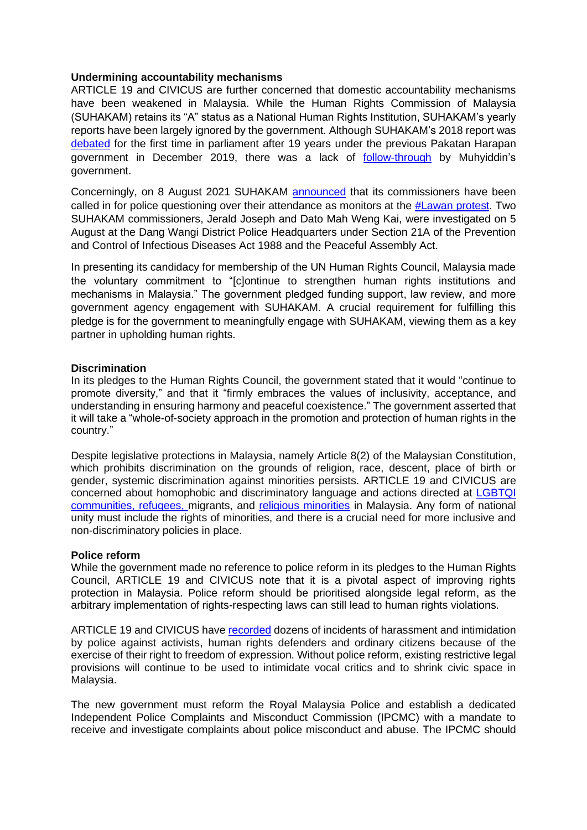## **Undermining accountability mechanisms**

ARTICLE 19 and CIVICUS are further concerned that domestic accountability mechanisms have been weakened in Malaysia. While the Human Rights Commission of Malaysia (SUHAKAM) retains its "A" status as a National Human Rights Institution, SUHAKAM's yearly reports have been largely ignored by the government. Although SUHAKAM's 2018 report was [debated](https://www.malaysiakini.com/news/502543) for the first time in parliament after 19 years under the previous Pakatan Harapan government in December 2019, there was a lack of [follow-through](https://www.suhakam.org.my/wp-content/uploads/2020/12/Press-Statement-No.-36-2020_SUHAKAM-is-Disappointed-that-its-2019-Annual-Report-will-not-be-Debated-in-Parliament-this-Year.pdf) by Muhyiddin's government.

Concerningly, on 8 August 2021 SUHAKAM [announced](https://suhakam.org.my/2021/08/press-statement-no-28-2021_suhakam-is-concerned-over-the-incidents-of-intimidation-reprisals-against-human-rights-defenders/) that its commissioners have been called in for police questioning over their attendance as monitors at the [#Lawan protest.](https://www.malaysiakini.com/news/585291) Two SUHAKAM commissioners, Jerald Joseph and Dato Mah Weng Kai, were investigated on 5 August at the Dang Wangi District Police Headquarters under Section 21A of the Prevention and Control of Infectious Diseases Act 1988 and the Peaceful Assembly Act.

In presenting its candidacy for membership of the UN Human Rights Council, Malaysia made the voluntary commitment to "[c]ontinue to strengthen human rights institutions and mechanisms in Malaysia." The government pledged funding support, law review, and more government agency engagement with SUHAKAM. A crucial requirement for fulfilling this pledge is for the government to meaningfully engage with SUHAKAM, viewing them as a key partner in upholding human rights.

#### **Discrimination**

In its pledges to the Human Rights Council, the government stated that it would "continue to promote diversity," and that it "firmly embraces the values of inclusivity, acceptance, and understanding in ensuring harmony and peaceful coexistence." The government asserted that it will take a "whole-of-society approach in the promotion and protection of human rights in the country."

Despite legislative protections in Malaysia, namely Article 8(2) of the Malaysian Constitution, which prohibits discrimination on the grounds of religion, race, descent, place of birth or gender, systemic discrimination against minorities persists. ARTICLE 19 and CIVICUS are concerned about homophobic and discriminatory language and actions directed at [LGBTQI](https://www.article19.org/resources/malaysia-abandon-criminalisation-of-lgbtqi-community/)  [communities,](https://www.article19.org/resources/malaysia-abandon-criminalisation-of-lgbtqi-community/) [refugees,](https://www.article19.org/resources/malaysia-article-19-and-partner-organisations-urge-malaysia-prime-minister-to-respond-to-hate-speech-against-the-rohingya/) migrants, and [religious minorities](https://www.article19.org/resources/malaysia-un-rights-review-must-accelerate-progress-on-human-rights-reforms/) in Malaysia. Any form of national unity must include the rights of minorities, and there is a crucial need for more inclusive and non-discriminatory policies in place.

#### **Police reform**

While the government made no reference to police reform in its pledges to the Human Rights Council, ARTICLE 19 and CIVICUS note that it is a pivotal aspect of improving rights protection in Malaysia. Police reform should be prioritised alongside legal reform, as the arbitrary implementation of rights-respecting laws can still lead to human rights violations.

ARTICLE 19 and CIVICUS have [recorded](https://www.article19.org/wp-content/uploads/2021/03/2021.03.08-A19-CIVICUS-Rights-in-Reverse-report-March-2021-updated2-min.pdf) dozens of incidents of harassment and intimidation by police against activists, human rights defenders and ordinary citizens because of the exercise of their right to freedom of expression. Without police reform, existing restrictive legal provisions will continue to be used to intimidate vocal critics and to shrink civic space in Malaysia.

The new government must reform the Royal Malaysia Police and establish a dedicated Independent Police Complaints and Misconduct Commission (IPCMC) with a mandate to receive and investigate complaints about police misconduct and abuse. The IPCMC should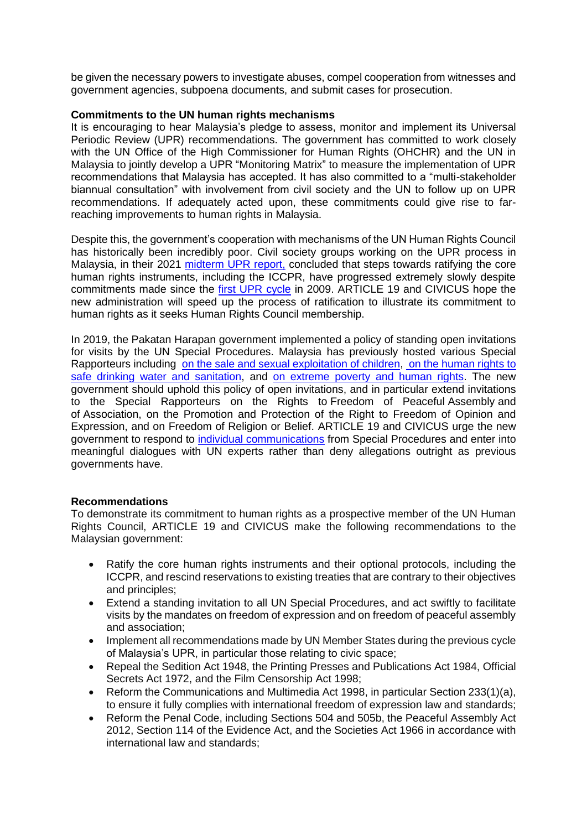be given the necessary powers to investigate abuses, compel cooperation from witnesses and government agencies, subpoena documents, and submit cases for prosecution.

## **Commitments to the UN human rights mechanisms**

It is encouraging to hear Malaysia's pledge to assess, monitor and implement its Universal Periodic Review (UPR) recommendations. The government has committed to work closely with the UN Office of the High Commissioner for Human Rights (OHCHR) and the UN in Malaysia to jointly develop a UPR "Monitoring Matrix" to measure the implementation of UPR recommendations that Malaysia has accepted. It has also committed to a "multi-stakeholder biannual consultation" with involvement from civil society and the UN to follow up on UPR recommendations. If adequately acted upon, these commitments could give rise to farreaching improvements to human rights in Malaysia.

Despite this, the government's cooperation with mechanisms of the UN Human Rights Council has historically been incredibly poor. Civil society groups working on the UPR process in Malaysia, in their 2021 [midterm UPR report,](https://www.upr-info.org/sites/default/files/document/malaysia/session_31_-_november_2018/mid-term_report_for_malaysias_3rd_cycle_by_civil_society_comango.pdf) concluded that steps towards ratifying the core human rights instruments, including the ICCPR, have progressed extremely slowly despite commitments made since the [first UPR cycle](https://www.upr-info.org/en/review/Malaysia/Session-04---February-2009) in 2009. ARTICLE 19 and CIVICUS hope the new administration will speed up the process of ratification to illustrate its commitment to human rights as it seeks Human Rights Council membership.

In 2019, the Pakatan Harapan government implemented a policy of standing open invitations for visits by the UN Special Procedures. Malaysia has previously hosted various Special Rapporteurs including [on the sale and sexual exploitation of children,](https://www.ohchr.org/EN/NewsEvents/Pages/DisplayNews.aspx?NewsID=23675&LangID=E) [on the human rights to](https://www.ohchr.org/en/NewsEvents/Pages/DisplayNews.aspx?NewsID=23838&LangID=E)  [safe drinking water and sanitation,](https://www.ohchr.org/en/NewsEvents/Pages/DisplayNews.aspx?NewsID=23838&LangID=E) and [on extreme poverty and human rights.](https://www.ohchr.org/EN/NewsEvents/Pages/DisplayNews.aspx?NewsID=24912) The new government should uphold this policy of open invitations, and in particular extend invitations to the Special Rapporteurs on the Rights to Freedom of Peaceful Assembly and of Association, on the Promotion and Protection of the Right to Freedom of Opinion and Expression, and on Freedom of Religion or Belief. ARTICLE 19 and CIVICUS urge the new government to respond to [individual communications](https://spcommreports.ohchr.org/TmSearch/Results) from Special Procedures and enter into meaningful dialogues with UN experts rather than deny allegations outright as previous governments have.

#### **Recommendations**

To demonstrate its commitment to human rights as a prospective member of the UN Human Rights Council, ARTICLE 19 and CIVICUS make the following recommendations to the Malaysian government:

- Ratify the core human rights instruments and their optional protocols, including the ICCPR, and rescind reservations to existing treaties that are contrary to their objectives and principles;
- Extend a standing invitation to all UN Special Procedures, and act swiftly to facilitate visits by the mandates on freedom of expression and on freedom of peaceful assembly and association;
- Implement all recommendations made by UN Member States during the previous cycle of Malaysia's UPR, in particular those relating to civic space;
- Repeal the Sedition Act 1948, the Printing Presses and Publications Act 1984, Official Secrets Act 1972, and the Film Censorship Act 1998;
- Reform the Communications and Multimedia Act 1998, in particular Section 233(1)(a), to ensure it fully complies with international freedom of expression law and standards;
- Reform the Penal Code, including Sections 504 and 505b, the Peaceful Assembly Act 2012, Section 114 of the Evidence Act, and the Societies Act 1966 in accordance with international law and standards;